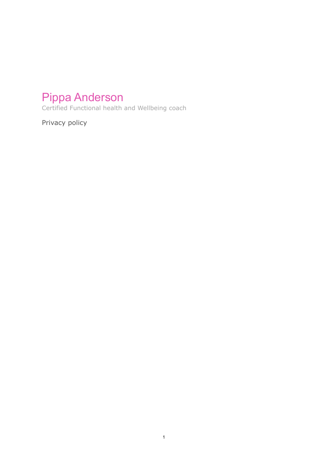# Pippa Anderson

Certified Functional health and Wellbeing coach

Privacy policy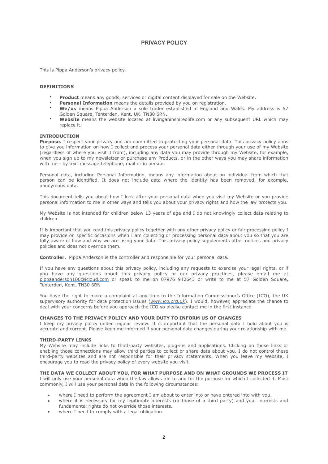# **PRIVACY POLICY**

This is Pippa Anderson's privacy policy.

## **DEFINITIONS**

- **Product** means any goods, services or digital content displayed for sale on the Website.
- **Personal Information** means the details provided by you on registration.
- **We/us** means Pippa Anderson a sole trader established in England and Wales. My address is 57 Golden Square, Tenterden, Kent. UK. TN30 6RN.
- **Website** means the website located at livinganinspiredlife.com or any subsequent URL which may replace it.

#### **INTRODUCTION**

**Purpose.** I respect your privacy and am committed to protecting your personal data. This privacy policy aims to give you information on how I collect and process your personal data either through your use of my Website (regardless of where you visit it from), including any data you may provide through my Website, for example, when you sign up to my newsletter or purchase any Products, or in the other ways you may share information with me - by text message, telephone, mail or in person.

Personal data, including Personal Information, means any information about an individual from which that person can be identified. It does not include data where the identity has been removed, for example, anonymous data.

This document tells you about how I look after your personal data when you visit my Website or you provide personal information to me in other ways and tells you about your privacy rights and how the law protects you.

My Website is not intended for children below 13 years of age and I do not knowingly collect data relating to children.

It is important that you read this privacy policy together with any other privacy policy or fair processing policy I may provide on specific occasions when I am collecting or processing personal data about you so that you are fully aware of how and why we are using your data. This privacy policy supplements other notices and privacy policies and does not override them.

**Controller.** Pippa Anderson is the controller and responsible for your personal data.

If you have any questions about this privacy policy, including any requests to exercise your legal rights, or if you have any questions about this privacy policy or our privacy practices, please email me at [pippaanderson100@icloud.com](mailto:pippaanderson100@icloud.com) or speak to me on 07976 942643 or write to me at 57 Golden Square, Tenterden, Kent. TN30 6RN

You have the right to make a complaint at any time to the Information Commissioner's Office (ICO), the UK supervisory authority for data protection issues (*[www.ico.org.uk](http://www.ico.org.uk/)*). I would, however, appreciate the chance to deal with your concerns before you approach the ICO so please contact me in the first instance.

## **CHANGES TO THE PRIVACY POLICY AND YOUR DUTY TO INFORM US OF CHANGES**

I keep my privacy policy under regular review. It is important that the personal data I hold about you is accurate and current. Please keep me informed if your personal data changes during your relationship with me.

### **THIRD-PARTY LINKS**

My Website may include links to third-party websites, plug-ins and applications. Clicking on those links or enabling those connections may allow third parties to collect or share data about you. I do not control these third-party websites and are not responsible for their privacy statements. When you leave my Website, I encourage you to read the privacy policy of every website you visit.

## **THE DATA WE COLLECT ABOUT YOU, FOR WHAT PURPOSE AND ON WHAT GROUNDS WE PROCESS IT**

I will only use your personal data when the law allows me to and for the purpose for which I collected it. Most commonly, I will use your personal data in the following circumstances:

- where I need to perform the agreement I am about to enter into or have entered into with you.
- where it is necessary for my legitimate interests (or those of a third party) and your interests and fundamental rights do not override those interests.
- where I need to comply with a legal obligation.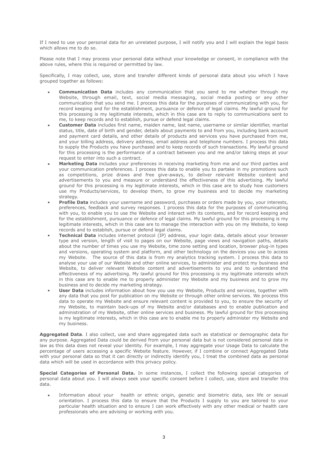If I need to use your personal data for an unrelated purpose, I will notify you and I will explain the legal basis which allows me to do so.

Please note that I may process your personal data without your knowledge or consent, in compliance with the above rules, where this is required or permitted by law.

Specifically, I may collect, use, store and transfer different kinds of personal data about you which I have grouped together as follows:

- **Communication Data** includes any communication that you send to me whether through my Website, through email, text, social media messaging, social media posting or any other communication that you send me. I process this data for the purposes of communicating with you, for record keeping and for the establishment, pursuance or defence of legal claims. My lawful ground for this processing is my legitimate interests, which in this case are to reply to communications sent to me, to keep records and to establish, pursue or defend legal claims.
- **Customer Data** includes first name, maiden name, last name, username or similar identifier, marital status, title, date of birth and gender, details about payments to and from you, including bank account and payment card details, and other details of products and services you have purchased from me, and your billing address, delivery address, email address and telephone numbers. I process this data to supply the Products you have purchased and to keep records of such transactions. My lawful ground for this processing is the performance of a contract between you and me and/or taking steps at your request to enter into such a contract.
- **Marketing Data** includes your preferences in receiving marketing from me and our third parties and your communication preferences. I process this data to enable you to partake in my promotions such as competitions, prize draws and free give-aways, to deliver relevant Website content and advertisements to you and measure or understand the effectiveness of this advertising. My lawful ground for this processing is my legitimate interests, which in this case are to study how customers use my Products/services, to develop them, to grow my business and to decide my marketing strategy.
- **Profile Data** includes your username and password, purchases or orders made by you, your interests, preferences, feedback and survey responses. I process this data for the purposes of communicating with you, to enable you to use the Website and interact with its contents, and for record keeping and for the establishment, pursuance or defence of legal claims. My lawful ground for this processing is my legitimate interests, which in this case are to manage the interaction with you on my Website, to keep records and to establish, pursue or defend legal claims.
- **Technical Data** includes internet protocol (IP) address, your login data, details about your browser type and version, length of visit to pages on our Website, page views and navigation paths, details about the number of times you use my Website, time zone setting and location, browser plug-in types and versions, operating system and platform, and other technology on the devices you use to access my Website. The source of this data is from my analytics tracking system. I process this data to analyse your use of our Website and other online services, to administer and protect my business and Website, to deliver relevant Website content and advertisements to you and to understand the effectiveness of my advertising. My lawful ground for this processing is my legitimate interests which in this case are to enable me to properly administer my Website and my business and to grow my business and to decide my marketing strategy.
- **User Data** includes information about how you use my Website, Products and services, together with any data that you post for publication on my Website or through other online services. We process this data to operate my Website and ensure relevant content is provided to you, to ensure the security of my Website, to maintain back-ups of my Website and/or databases and to enable publication and administration of my Website, other online services and business. My lawful ground for this processing is my legitimate interests, which in this case are to enable me to properly administer my Website and my business.

**Aggregated Data**. I also collect, use and share aggregated data such as statistical or demographic data for any purpose. Aggregated Data could be derived from your personal data but is not considered personal data in law as this data does not reveal your identity. For example, I may aggregate your Usage Data to calculate the percentage of users accessing a specific Website feature. However, if I combine or connect Aggregated Data with your personal data so that it can directly or indirectly identify you, I treat the combined data as personal data which will be used in accordance with this privacy policy.

**Special Categories of Personal Data.** In some instances, I collect the following special categories of personal data about you. I will always seek your specific consent before I collect, use, store and transfer this data.

• Information about your health or ethnic origin, genetic and biometric data, sex life or sexual orientation. I process this data to ensure that the Products I supply to you are tailored to your particular health situation and to ensure I can work effectively with any other medical or health care professionals who are advising or working with you.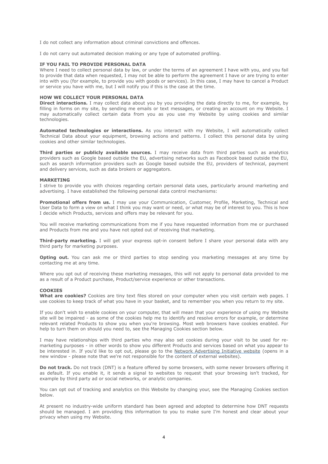I do not collect any information about criminal convictions and offences.

I do not carry out automated decision making or any type of automated profiling.

## **IF YOU FAIL TO PROVIDE PERSONAL DATA**

Where I need to collect personal data by law, or under the terms of an agreement I have with you, and you fail to provide that data when requested, I may not be able to perform the agreement I have or are trying to enter into with you (for example, to provide you with goods or services). In this case, I may have to cancel a Product or service you have with me, but I will notify you if this is the case at the time.

#### **HOW WE COLLECT YOUR PERSONAL DATA**

**Direct interactions.** I may collect data about you by you providing the data directly to me, for example, by filling in forms on my site, by sending me emails or text messages, or creating an account on my Website. I may automatically collect certain data from you as you use my Website by using cookies and similar technologies.

**Automated technologies or interactions.** As you interact with my Website, I will automatically collect Technical Data about your equipment, browsing actions and patterns. I collect this personal data by using cookies and other similar technologies.

**Third parties or publicly available sources.** I may receive data from third parties such as analytics providers such as Google based outside the EU, advertising networks such as Facebook based outside the EU, such as search information providers such as Google based outside the EU, providers of technical, payment and delivery services, such as data brokers or aggregators.

#### **MARKETING**

I strive to provide you with choices regarding certain personal data uses, particularly around marketing and advertising. I have established the following personal data control mechanisms:

**Promotional offers from us.** I may use your Communication, Customer, Profile, Marketing, Technical and User Data to form a view on what I think you may want or need, or what may be of interest to you. This is how I decide which Products, services and offers may be relevant for you.

You will receive marketing communications from me if you have requested information from me or purchased and Products from me and you have not opted out of receiving that marketing.

**Third-party marketing.** I will get your express opt-in consent before I share your personal data with any third party for marketing purposes.

**Opting out.** You can ask me or third parties to stop sending you marketing messages at any time by contacting me at any time.

Where you opt out of receiving these marketing messages, this will not apply to personal data provided to me as a result of a Product purchase, Product/service experience or other transactions.

#### **COOKIES**

What are cookies? Cookies are tiny text files stored on your computer when you visit certain web pages. I use cookies to keep track of what you have in your basket, and to remember you when you return to my site.

If you don't wish to enable cookies on your computer, that will mean that your experience of using my Website site will be impaired - as some of the cookies help me to identify and resolve errors for example, or determine relevant related Products to show you when you're browsing. Most web browsers have cookies enabled. For help to turn them on should you need to, see the Managing Cookies section below.

I may have relationships with third parties who may also set cookies during your visit to be used for remarketing purposes - in other words to show you different Products and services based on what you appear to be interested in. If you'd like to opt out, please go to the [Network Advertising Initiative website](https://networkadvertising.org/managing/opt_out.asp) (opens in a new window - please note that we're not responsible for the content of external websites).

**Do not track.** Do not track (DNT) is a feature offered by some browsers, with some newer browsers offering it as default. If you enable it, it sends a signal to websites to request that your browsing isn't tracked, for example by third party ad or social networks, or analytic companies.

You can opt out of tracking and analytics on this Website by changing your, see the Managing Cookies section below.

At present no industry-wide uniform standard has been agreed and adopted to determine how DNT requests should be managed. I am providing this information to you to make sure I'm honest and clear about your privacy when using my Website.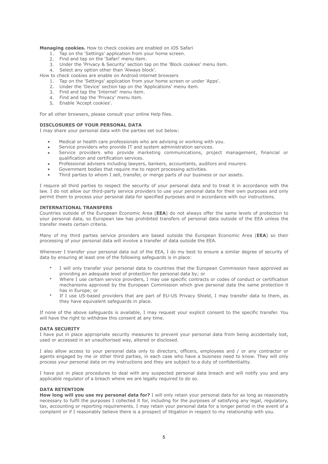## **Managing cookies.** How to check cookies are enabled on iOS Safari

- 1. Tap on the 'Settings' application from your home screen.
- 2. Find and tap on the 'Safari' menu item.
- 3. Under the 'Privacy & Security' section tap on the 'Block cookies' menu item.
- 4. Select any option other than 'Always block'.

How to check cookies are enable on Android internet browsers

- 1. Tap on the 'Settings' application from your home screen or under 'Apps'.
- 2. Under the 'Device' section tap on the 'Applications' menu item.
- 3. Find and tap the 'Internet' menu item.
- 4. Find and tap the 'Privacy' menu item.
- 5. Enable 'Accept cookies'.

For all other browsers, please consult your online Help files.

## **DISCLOSURES OF YOUR PERSONAL DATA**

I may share your personal data with the parties set out below:

- Medical or health care professionals who are advising or working with you.
- Service providers who provide IT and system administration services.
- Service providers who provide marketing communications, project management, financial or qualification and certification services.
- Professional advisers including lawyers, bankers, accountants, auditors and insurers.
- Government bodies that require me to report processing activities.
- Third parties to whom I sell, transfer, or merge parts of our business or our assets.

I require all third parties to respect the security of your personal data and to treat it in accordance with the law. I do not allow our third-party service providers to use your personal data for their own purposes and only permit them to process your personal data for specified purposes and in accordance with our instructions.

## **INTERNATIONAL TRANSFERS**

Countries outside of the European Economic Area (**EEA**) do not always offer the same levels of protection to your personal data, so European law has prohibited transfers of personal data outside of the EEA unless the transfer meets certain criteria.

Many of my third parties service providers are based outside the European Economic Area (**EEA**) so their processing of your personal data will involve a transfer of data outside the EEA.

Whenever I transfer your personal data out of the EEA, I do my best to ensure a similar degree of security of data by ensuring at least one of the following safeguards is in place:

- I will only transfer your personal data to countries that the European Commission have approved as providing an adequate level of protection for personal data by; or
- Where I use certain service providers, I may use specific contracts or codes of conduct or certification mechanisms approved by the European Commission which give personal data the same protection it has in Europe; or
- If I use US-based providers that are part of EU-US Privacy Shield, I may transfer data to them, as they have equivalent safeguards in place.

If none of the above safeguards is available, I may request your explicit consent to the specific transfer. You will have the right to withdraw this consent at any time.

#### **DATA SECURITY**

I have put in place appropriate security measures to prevent your personal data from being accidentally lost, used or accessed in an unauthorised way, altered or disclosed.

I also allow access to your personal data only to directors, officers, employees and / or any contractor or agents engaged by me or other third parties, in each case who have a business need to know. They will only process your personal data on my instructions and they are subject to a duty of confidentiality.

I have put in place procedures to deal with any suspected personal data breach and will notify you and any applicable regulator of a breach where we are legally required to do so.

## **DATA RETENTION**

**How long will you use my personal data for?** I will only retain your personal data for as long as reasonably necessary to fulfil the purposes I collected it for, including for the purposes of satisfying any legal, regulatory, tax, accounting or reporting requirements. I may retain your personal data for a longer period in the event of a complaint or if I reasonably believe there is a prospect of litigation in respect to my relationship with you.